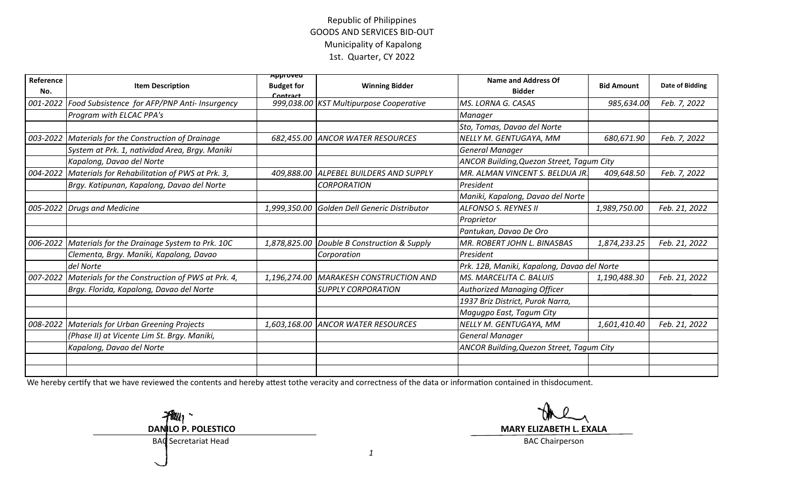## Republic of Philippines GOODS AND SERVICES BID-OUT Municipality of Kapalong1st. Quarter, CY 2022

| Reference<br>No. | <b>Item Description</b>                          | Approvea<br><b>Budget for</b><br>Contract | <b>Winning Bidder</b>                        | <b>Name and Address Of</b><br><b>Bidder</b> | <b>Bid Amount</b> | Date of Bidding |
|------------------|--------------------------------------------------|-------------------------------------------|----------------------------------------------|---------------------------------------------|-------------------|-----------------|
| 001-2022         | Food Subsistence for AFP/PNP Anti- Insurgency    |                                           | 999,038.00 KST Multipurpose Cooperative      | MS. LORNA G. CASAS                          | 985,634.00        | Feb. 7, 2022    |
|                  | Program with ELCAC PPA's                         |                                           |                                              | <b>Manager</b>                              |                   |                 |
|                  |                                                  |                                           |                                              | Sto, Tomas, Davao del Norte                 |                   |                 |
| 003-2022         | Materials for the Construction of Drainage       |                                           | 682,455.00 ANCOR WATER RESOURCES             | NELLY M. GENTUGAYA, MM                      | 680,671.90        | Feb. 7, 2022    |
|                  | System at Prk. 1, natividad Area, Brgy. Maniki   |                                           |                                              | <b>General Manager</b>                      |                   |                 |
|                  | Kapalong, Davao del Norte                        |                                           |                                              | ANCOR Building, Quezon Street, Tagum City   |                   |                 |
| 004-2022         | Materials for Rehabilitation of PWS at Prk. 3,   |                                           | 409,888.00 ALPEBEL BUILDERS AND SUPPLY       | MR. ALMAN VINCENT S. BELDUA JR.             | 409,648.50        | Feb. 7, 2022    |
|                  | Brgy. Katipunan, Kapalong, Davao del Norte       |                                           | <b>CORPORATION</b>                           | President                                   |                   |                 |
|                  |                                                  |                                           |                                              | Maniki, Kapalong, Davao del Norte           |                   |                 |
| 005-2022         | <b>Drugs and Medicine</b>                        |                                           | 1,999,350.00 Golden Dell Generic Distributor | <b>ALFONSO S. REYNES II</b>                 | 1,989,750.00      | Feb. 21, 2022   |
|                  |                                                  |                                           |                                              | Proprietor                                  |                   |                 |
|                  |                                                  |                                           |                                              | Pantukan, Davao De Oro                      |                   |                 |
| 006-2022         | Materials for the Drainage System to Prk. 10C    |                                           | 1,878,825.00 Double B Construction & Supply  | MR. ROBERT JOHN L. BINASBAS                 | 1,874,233.25      | Feb. 21, 2022   |
|                  | Clementa, Brgy. Maniki, Kapalong, Davao          |                                           | Corporation                                  | President                                   |                   |                 |
|                  | del Norte                                        |                                           |                                              | Prk. 12B, Maniki, Kapalong, Davao del Norte |                   |                 |
| 007-2022         | Materials for the Construction of PWS at Prk. 4, | 1,196,274.00                              | <b>MARAKESH CONSTRUCTION AND</b>             | MS. MARCELITA C. BALUIS                     | 1,190,488.30      | Feb. 21, 2022   |
|                  | Brgy. Florida, Kapalong, Davao del Norte         |                                           | <b>SUPPLY CORPORATION</b>                    | <b>Authorized Managing Officer</b>          |                   |                 |
|                  |                                                  |                                           |                                              | 1937 Briz District, Purok Narra,            |                   |                 |
|                  |                                                  |                                           |                                              | Magugpo East, Tagum City                    |                   |                 |
| 008-2022         | Materials for Urban Greening Projects            |                                           | 1,603,168.00 ANCOR WATER RESOURCES           | NELLY M. GENTUGAYA, MM                      | 1,601,410.40      | Feb. 21, 2022   |
|                  | (Phase II) at Vicente Lim St. Brgy. Maniki,      |                                           |                                              | General Manager                             |                   |                 |
|                  | Kapalong, Davao del Norte                        |                                           |                                              | ANCOR Building, Quezon Street, Tagum City   |                   |                 |
|                  |                                                  |                                           |                                              |                                             |                   |                 |
|                  |                                                  |                                           |                                              |                                             |                   |                 |

We hereby certify that we have reviewed the contents and hereby attest tothe veracity and correctness of the data or information contained in thisdocument.

**DANILO P. POLESTICO**

**MARY ELIZABETH L. EXALA**<br>BAC Chairperson

BAC Secretariat Head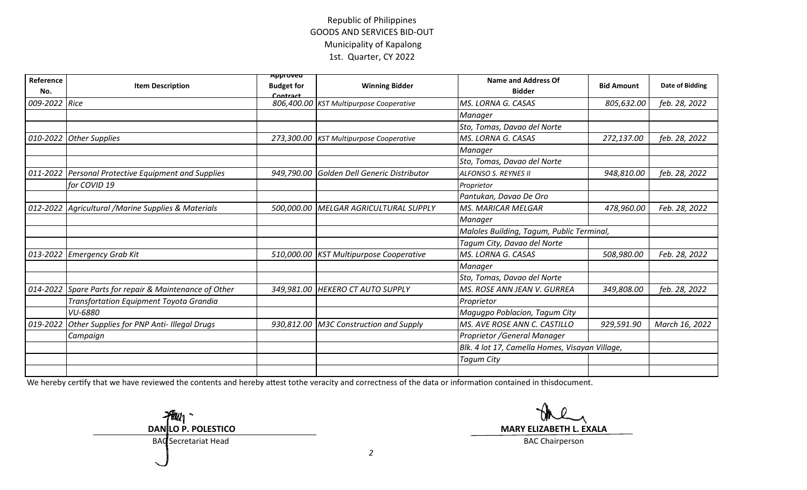## Republic of Philippines GOODS AND SERVICES BID-OUT Municipality of Kapalong1st. Quarter, CY 2022

| Reference<br>No. | <b>Item Description</b>                               | Approvea<br><b>Budget for</b><br>Contract | <b>Winning Bidder</b>                      | <b>Name and Address Of</b><br><b>Bidder</b>    | <b>Bid Amount</b> | Date of Bidding |
|------------------|-------------------------------------------------------|-------------------------------------------|--------------------------------------------|------------------------------------------------|-------------------|-----------------|
| 009-2022         | Rice                                                  |                                           | 806,400.00 KST Multipurpose Cooperative    | MS. LORNA G. CASAS                             | 805,632.00        | feb. 28, 2022   |
|                  |                                                       |                                           |                                            | <b>Manager</b>                                 |                   |                 |
|                  |                                                       |                                           |                                            | Sto, Tomas, Davao del Norte                    |                   |                 |
| 010-2022         | <b>Other Supplies</b>                                 |                                           | 273,300.00 KST Multipurpose Cooperative    | MS. LORNA G. CASAS                             | 272,137.00        | feb. 28, 2022   |
|                  |                                                       |                                           |                                            | <b>Manager</b>                                 |                   |                 |
|                  |                                                       |                                           |                                            | Sto, Tomas, Davao del Norte                    |                   |                 |
| 011-2022         | Personal Protective Equipment and Supplies            |                                           | 949,790.00 Golden Dell Generic Distributor | ALFONSO S. REYNES II                           | 948,810.00        | feb. 28, 2022   |
|                  | for COVID 19                                          |                                           |                                            | Proprietor                                     |                   |                 |
|                  |                                                       |                                           |                                            | Pantukan, Davao De Oro                         |                   |                 |
|                  | 012-2022   Agricultural / Marine Supplies & Materials |                                           | 500,000.00 MELGAR AGRICULTURAL SUPPLY      | <b>MS. MARICAR MELGAR</b>                      | 478,960.00        | Feb. 28, 2022   |
|                  |                                                       |                                           |                                            | <b>Manager</b>                                 |                   |                 |
|                  |                                                       |                                           |                                            | Maloles Building, Tagum, Public Terminal,      |                   |                 |
|                  |                                                       |                                           |                                            | Tagum City, Davao del Norte                    |                   |                 |
| 013-2022         | <b>Emergency Grab Kit</b>                             |                                           | 510,000.00   KST Multipurpose Cooperative  | MS. LORNA G. CASAS                             | 508,980.00        | Feb. 28, 2022   |
|                  |                                                       |                                           |                                            | Manager                                        |                   |                 |
|                  |                                                       |                                           |                                            | Sto, Tomas, Davao del Norte                    |                   |                 |
| 014-2022         | Spare Parts for repair & Maintenance of Other         |                                           | 349,981.00 HEKERO CT AUTO SUPPLY           | MS. ROSE ANN JEAN V. GURREA                    | 349,808.00        | feb. 28, 2022   |
|                  | <b>Transfortation Equipment Toyota Grandia</b>        |                                           |                                            | Proprietor                                     |                   |                 |
|                  | VU-6880                                               |                                           |                                            | Maguqpo Poblacion, Tagum City                  |                   |                 |
| 019-2022         | Other Supplies for PNP Anti- Illegal Drugs            |                                           | 930,812.00 M3C Construction and Supply     | MS. AVE ROSE ANN C. CASTILLO                   | 929,591.90        | March 16, 2022  |
|                  | Campaign                                              |                                           |                                            | Proprietor / General Manager                   |                   |                 |
|                  |                                                       |                                           |                                            | Blk. 4 lot 17, Camella Homes, Visayan Village, |                   |                 |
|                  |                                                       |                                           |                                            | Tagum City                                     |                   |                 |
|                  |                                                       |                                           |                                            |                                                |                   |                 |

We hereby certify that we have reviewed the contents and hereby attest tothe veracity and correctness of the data or information contained in thisdocument.

 $H_{u_1}$ **DANILO P. POLESTICO**

**MARY ELIZABETH L. EXALA**<br>BAC Chairperson

BAC Secretariat Head